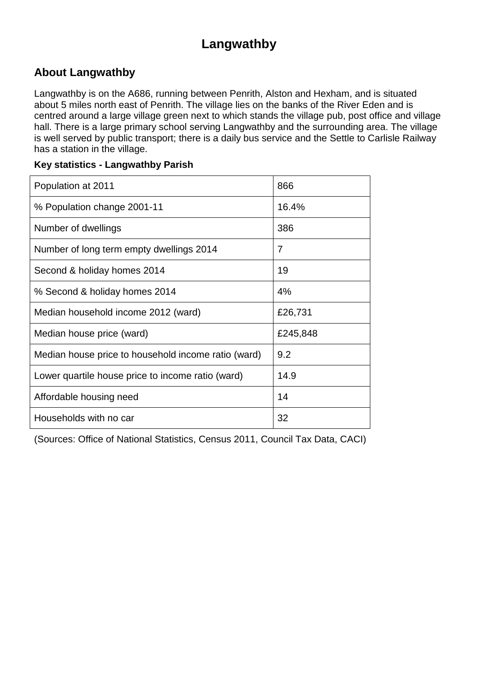## **Langwathby**

#### **About Langwathby**

Langwathby is on the A686, running between Penrith, Alston and Hexham, and is situated about 5 miles north east of Penrith. The village lies on the banks of the River Eden and is centred around a large village green next to which stands the village pub, post office and village hall. There is a large primary school serving Langwathby and the surrounding area. The village is well served by public transport; there is a daily bus service and the Settle to Carlisle Railway has a station in the village.

#### **Key statistics - Langwathby Parish**

| Population at 2011                                  | 866      |
|-----------------------------------------------------|----------|
| % Population change 2001-11                         | 16.4%    |
| Number of dwellings                                 | 386      |
| Number of long term empty dwellings 2014            | 7        |
| Second & holiday homes 2014                         | 19       |
| % Second & holiday homes 2014                       | 4%       |
| Median household income 2012 (ward)                 | £26,731  |
| Median house price (ward)                           | £245,848 |
| Median house price to household income ratio (ward) | 9.2      |
| Lower quartile house price to income ratio (ward)   | 14.9     |
| Affordable housing need                             | 14       |
| Households with no car                              | 32       |

(Sources: Office of National Statistics, Census 2011, Council Tax Data, CACI)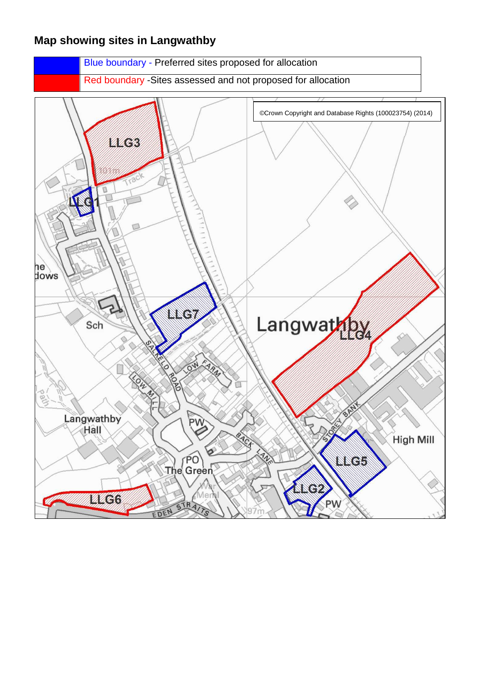#### **Map showing sites in Langwathby**

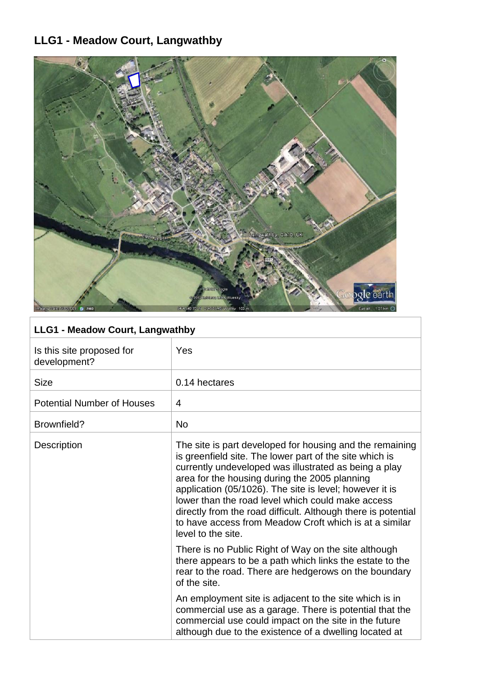#### **LLG1 - Meadow Court, Langwathby**



| <b>LLG1 - Meadow Court, Langwathby</b>    |                                                                                                                                                                                                                                                                                                                                                                                                                                                                                                |
|-------------------------------------------|------------------------------------------------------------------------------------------------------------------------------------------------------------------------------------------------------------------------------------------------------------------------------------------------------------------------------------------------------------------------------------------------------------------------------------------------------------------------------------------------|
| Is this site proposed for<br>development? | <b>Yes</b>                                                                                                                                                                                                                                                                                                                                                                                                                                                                                     |
| <b>Size</b>                               | 0.14 hectares                                                                                                                                                                                                                                                                                                                                                                                                                                                                                  |
| <b>Potential Number of Houses</b>         | 4                                                                                                                                                                                                                                                                                                                                                                                                                                                                                              |
| Brownfield?                               | No.                                                                                                                                                                                                                                                                                                                                                                                                                                                                                            |
| <b>Description</b>                        | The site is part developed for housing and the remaining<br>is greenfield site. The lower part of the site which is<br>currently undeveloped was illustrated as being a play<br>area for the housing during the 2005 planning<br>application (05/1026). The site is level; however it is<br>lower than the road level which could make access<br>directly from the road difficult. Although there is potential<br>to have access from Meadow Croft which is at a similar<br>level to the site. |
|                                           | There is no Public Right of Way on the site although<br>there appears to be a path which links the estate to the                                                                                                                                                                                                                                                                                                                                                                               |

 $\check{\mathrm{t}}$  to the rear to the road. There are hedgerows on the boundary of the site. An employment site is adjacent to the site which is in

commercial use as a garage. There is potential that the commercial use could impact on the site in the future although due to the existence of a dwelling located at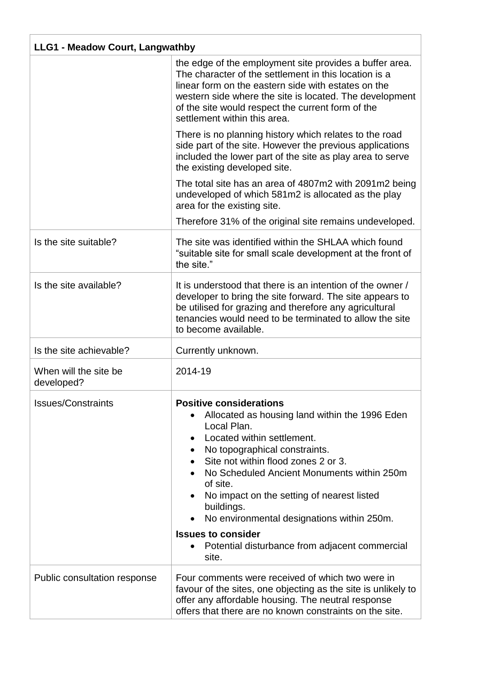| <b>LLG1 - Meadow Court, Langwathby</b> |                                                                                                                                                                                                                                                                                                                                                                                                                                                                                             |
|----------------------------------------|---------------------------------------------------------------------------------------------------------------------------------------------------------------------------------------------------------------------------------------------------------------------------------------------------------------------------------------------------------------------------------------------------------------------------------------------------------------------------------------------|
|                                        | the edge of the employment site provides a buffer area.<br>The character of the settlement in this location is a<br>linear form on the eastern side with estates on the<br>western side where the site is located. The development<br>of the site would respect the current form of the<br>settlement within this area.                                                                                                                                                                     |
|                                        | There is no planning history which relates to the road<br>side part of the site. However the previous applications<br>included the lower part of the site as play area to serve<br>the existing developed site.                                                                                                                                                                                                                                                                             |
|                                        | The total site has an area of 4807m2 with 2091m2 being<br>undeveloped of which 581m2 is allocated as the play<br>area for the existing site.                                                                                                                                                                                                                                                                                                                                                |
|                                        | Therefore 31% of the original site remains undeveloped.                                                                                                                                                                                                                                                                                                                                                                                                                                     |
| Is the site suitable?                  | The site was identified within the SHLAA which found<br>"suitable site for small scale development at the front of<br>the site."                                                                                                                                                                                                                                                                                                                                                            |
| Is the site available?                 | It is understood that there is an intention of the owner /<br>developer to bring the site forward. The site appears to<br>be utilised for grazing and therefore any agricultural<br>tenancies would need to be terminated to allow the site<br>to become available.                                                                                                                                                                                                                         |
| Is the site achievable?                | Currently unknown.                                                                                                                                                                                                                                                                                                                                                                                                                                                                          |
| When will the site be<br>developed?    | 2014-19                                                                                                                                                                                                                                                                                                                                                                                                                                                                                     |
| <b>Issues/Constraints</b>              | <b>Positive considerations</b><br>Allocated as housing land within the 1996 Eden<br>Local Plan.<br>Located within settlement.<br>$\bullet$<br>No topographical constraints.<br>$\bullet$<br>Site not within flood zones 2 or 3.<br>No Scheduled Ancient Monuments within 250m<br>of site.<br>No impact on the setting of nearest listed<br>buildings.<br>No environmental designations within 250m.<br><b>Issues to consider</b><br>Potential disturbance from adjacent commercial<br>site. |
| Public consultation response           | Four comments were received of which two were in<br>favour of the sites, one objecting as the site is unlikely to<br>offer any affordable housing. The neutral response<br>offers that there are no known constraints on the site.                                                                                                                                                                                                                                                          |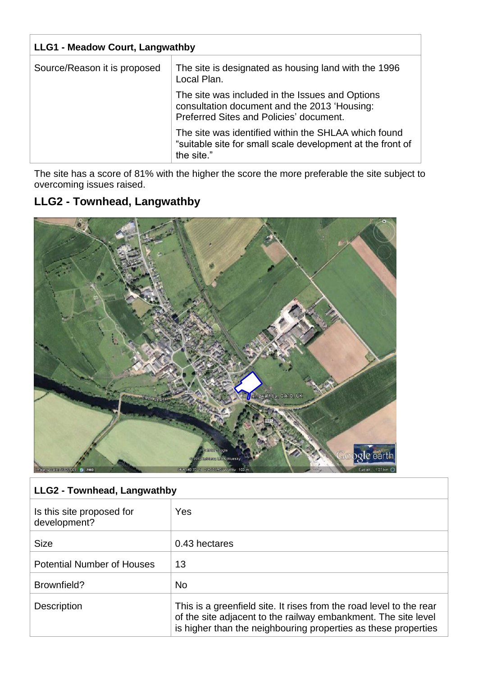| <b>LLG1 - Meadow Court, Langwathby</b> |                                                                                                                                            |
|----------------------------------------|--------------------------------------------------------------------------------------------------------------------------------------------|
| Source/Reason it is proposed           | The site is designated as housing land with the 1996<br>Local Plan.                                                                        |
|                                        | The site was included in the Issues and Options<br>consultation document and the 2013 'Housing:<br>Preferred Sites and Policies' document. |
|                                        | The site was identified within the SHLAA which found<br>"suitable site for small scale development at the front of<br>the site."           |

The site has a score of 81% with the higher the score the more preferable the site subject to overcoming issues raised.

#### **LLG2 - Townhead, Langwathby**



#### **LLG2 - Townhead, Langwathby**

| Is this site proposed for<br>development? | Yes                                                                                                                                                                                                     |
|-------------------------------------------|---------------------------------------------------------------------------------------------------------------------------------------------------------------------------------------------------------|
| <b>Size</b>                               | 0.43 hectares                                                                                                                                                                                           |
| <b>Potential Number of Houses</b>         | 13                                                                                                                                                                                                      |
| Brownfield?                               | <b>No</b>                                                                                                                                                                                               |
| <b>Description</b>                        | This is a greenfield site. It rises from the road level to the rear<br>of the site adjacent to the railway embankment. The site level<br>is higher than the neighbouring properties as these properties |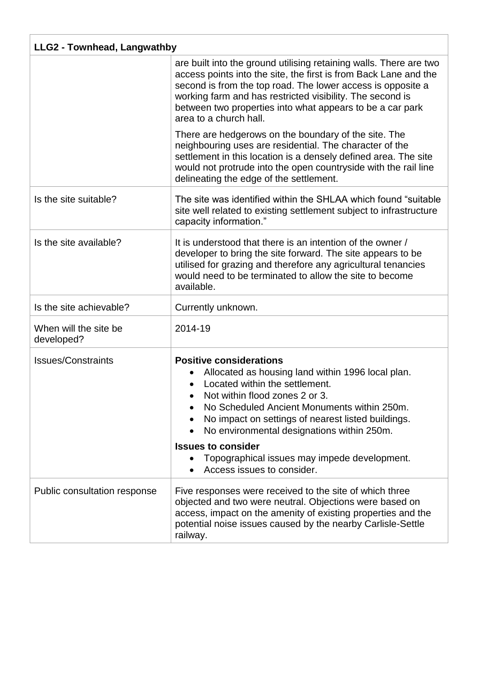| LLG2 - Townhead, Langwathby         |                                                                                                                                                                                                                                                                                                                                                                                          |
|-------------------------------------|------------------------------------------------------------------------------------------------------------------------------------------------------------------------------------------------------------------------------------------------------------------------------------------------------------------------------------------------------------------------------------------|
|                                     | are built into the ground utilising retaining walls. There are two<br>access points into the site, the first is from Back Lane and the<br>second is from the top road. The lower access is opposite a<br>working farm and has restricted visibility. The second is<br>between two properties into what appears to be a car park<br>area to a church hall.                                |
|                                     | There are hedgerows on the boundary of the site. The<br>neighbouring uses are residential. The character of the<br>settlement in this location is a densely defined area. The site<br>would not protrude into the open countryside with the rail line<br>delineating the edge of the settlement.                                                                                         |
| Is the site suitable?               | The site was identified within the SHLAA which found "suitable"<br>site well related to existing settlement subject to infrastructure<br>capacity information."                                                                                                                                                                                                                          |
| Is the site available?              | It is understood that there is an intention of the owner /<br>developer to bring the site forward. The site appears to be<br>utilised for grazing and therefore any agricultural tenancies<br>would need to be terminated to allow the site to become<br>available.                                                                                                                      |
| Is the site achievable?             | Currently unknown.                                                                                                                                                                                                                                                                                                                                                                       |
| When will the site be<br>developed? | 2014-19                                                                                                                                                                                                                                                                                                                                                                                  |
| <b>Issues/Constraints</b>           | <b>Positive considerations</b><br>Allocated as housing land within 1996 local plan.<br>Located within the settlement.<br>• Not within flood zones 2 or 3<br>No Scheduled Ancient Monuments within 250m.<br>No impact on settings of nearest listed buildings.<br>No environmental designations within 250m.<br><b>Issues to consider</b><br>Topographical issues may impede development. |
|                                     | Access issues to consider.                                                                                                                                                                                                                                                                                                                                                               |
| Public consultation response        | Five responses were received to the site of which three<br>objected and two were neutral. Objections were based on<br>access, impact on the amenity of existing properties and the<br>potential noise issues caused by the nearby Carlisle-Settle<br>railway.                                                                                                                            |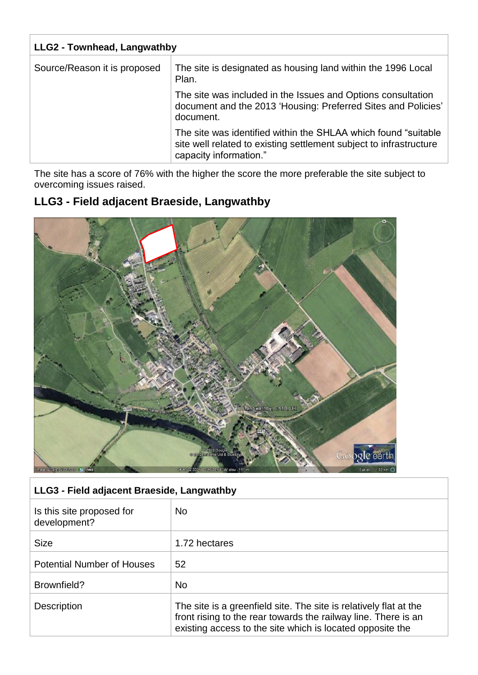| <b>LLG2 - Townhead, Langwathby</b> |                                                                                                                                                                 |  |
|------------------------------------|-----------------------------------------------------------------------------------------------------------------------------------------------------------------|--|
| Source/Reason it is proposed       | The site is designated as housing land within the 1996 Local<br>Plan.                                                                                           |  |
|                                    | The site was included in the Issues and Options consultation<br>document and the 2013 'Housing: Preferred Sites and Policies'<br>document.                      |  |
|                                    | The site was identified within the SHLAA which found "suitable"<br>site well related to existing settlement subject to infrastructure<br>capacity information." |  |

The site has a score of 76% with the higher the score the more preferable the site subject to overcoming issues raised.

#### **LLG3 - Field adjacent Braeside, Langwathby**



#### **LLG3 - Field adjacent Braeside, Langwathby**

| Is this site proposed for<br>development? | <b>No</b>                                                                                                                                                                                        |
|-------------------------------------------|--------------------------------------------------------------------------------------------------------------------------------------------------------------------------------------------------|
| <b>Size</b>                               | 1.72 hectares                                                                                                                                                                                    |
| <b>Potential Number of Houses</b>         | 52                                                                                                                                                                                               |
| Brownfield?                               | <b>No</b>                                                                                                                                                                                        |
| <b>Description</b>                        | The site is a greenfield site. The site is relatively flat at the<br>front rising to the rear towards the railway line. There is an<br>existing access to the site which is located opposite the |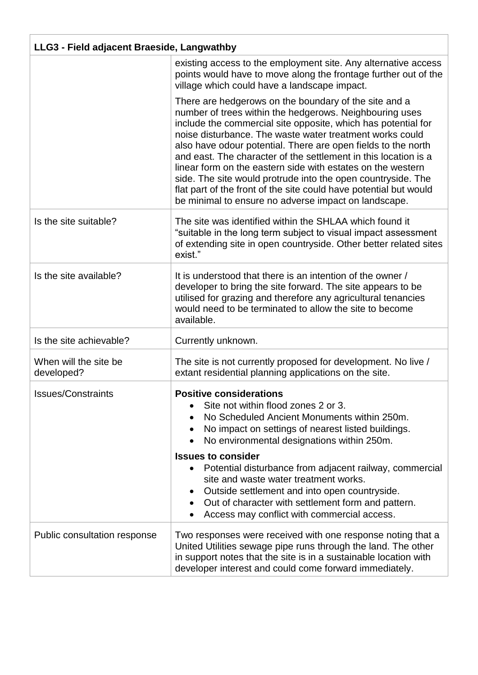| LLG3 - Field adjacent Braeside, Langwathby |                                                                                                                                                                                                                                                                                                                                                                                                                                                                                                                                                                                                                                               |  |
|--------------------------------------------|-----------------------------------------------------------------------------------------------------------------------------------------------------------------------------------------------------------------------------------------------------------------------------------------------------------------------------------------------------------------------------------------------------------------------------------------------------------------------------------------------------------------------------------------------------------------------------------------------------------------------------------------------|--|
|                                            | existing access to the employment site. Any alternative access<br>points would have to move along the frontage further out of the<br>village which could have a landscape impact.                                                                                                                                                                                                                                                                                                                                                                                                                                                             |  |
|                                            | There are hedgerows on the boundary of the site and a<br>number of trees within the hedgerows. Neighbouring uses<br>include the commercial site opposite, which has potential for<br>noise disturbance. The waste water treatment works could<br>also have odour potential. There are open fields to the north<br>and east. The character of the settlement in this location is a<br>linear form on the eastern side with estates on the western<br>side. The site would protrude into the open countryside. The<br>flat part of the front of the site could have potential but would<br>be minimal to ensure no adverse impact on landscape. |  |
| Is the site suitable?                      | The site was identified within the SHLAA which found it<br>"suitable in the long term subject to visual impact assessment<br>of extending site in open countryside. Other better related sites<br>exist."                                                                                                                                                                                                                                                                                                                                                                                                                                     |  |
| Is the site available?                     | It is understood that there is an intention of the owner /<br>developer to bring the site forward. The site appears to be<br>utilised for grazing and therefore any agricultural tenancies<br>would need to be terminated to allow the site to become<br>available.                                                                                                                                                                                                                                                                                                                                                                           |  |
| Is the site achievable?                    | Currently unknown.                                                                                                                                                                                                                                                                                                                                                                                                                                                                                                                                                                                                                            |  |
| When will the site be<br>developed?        | The site is not currently proposed for development. No live /<br>extant residential planning applications on the site.                                                                                                                                                                                                                                                                                                                                                                                                                                                                                                                        |  |
| <b>Issues/Constraints</b>                  | <b>Positive considerations</b><br>Site not within flood zones 2 or 3.<br>No Scheduled Ancient Monuments within 250m.<br>No impact on settings of nearest listed buildings.<br>No environmental designations within 250m.<br><b>Issues to consider</b><br>Potential disturbance from adjacent railway, commercial<br>site and waste water treatment works.<br>Outside settlement and into open countryside.<br>Out of character with settlement form and pattern.<br>Access may conflict with commercial access.                                                                                                                               |  |
| Public consultation response               | Two responses were received with one response noting that a<br>United Utilities sewage pipe runs through the land. The other<br>in support notes that the site is in a sustainable location with<br>developer interest and could come forward immediately.                                                                                                                                                                                                                                                                                                                                                                                    |  |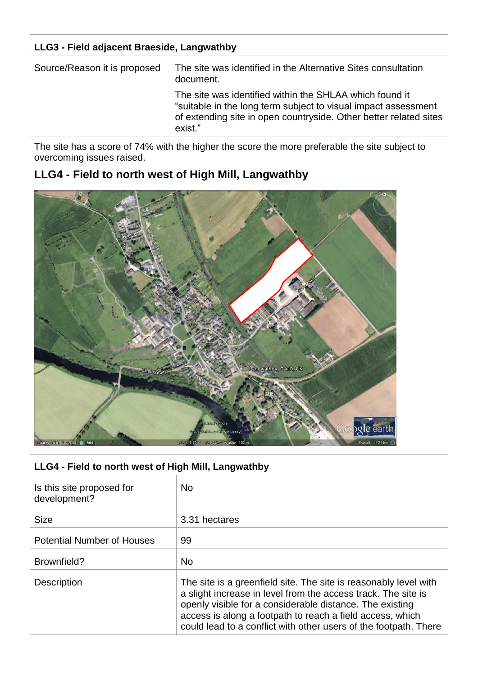| LLG3 - Field adjacent Braeside, Langwathby |                                                                                                                                                                                                           |
|--------------------------------------------|-----------------------------------------------------------------------------------------------------------------------------------------------------------------------------------------------------------|
| Source/Reason it is proposed               | The site was identified in the Alternative Sites consultation<br>document.                                                                                                                                |
|                                            | The site was identified within the SHLAA which found it<br>"suitable in the long term subject to visual impact assessment<br>of extending site in open countryside. Other better related sites<br>exist." |

The site has a score of 74% with the higher the score the more preferable the site subject to overcoming issues raised.

## **LLG4 - Field to north west of High Mill, Langwathby**



| LLG4 - Field to north west of High Mill, Langwathby |                                                                                                                                                                                                                                                                                                                                |  |
|-----------------------------------------------------|--------------------------------------------------------------------------------------------------------------------------------------------------------------------------------------------------------------------------------------------------------------------------------------------------------------------------------|--|
| Is this site proposed for<br>development?           | No.                                                                                                                                                                                                                                                                                                                            |  |
| <b>Size</b>                                         | 3.31 hectares                                                                                                                                                                                                                                                                                                                  |  |
| <b>Potential Number of Houses</b>                   | 99                                                                                                                                                                                                                                                                                                                             |  |
| Brownfield?                                         | <b>No</b>                                                                                                                                                                                                                                                                                                                      |  |
| <b>Description</b>                                  | The site is a greenfield site. The site is reasonably level with<br>a slight increase in level from the access track. The site is<br>openly visible for a considerable distance. The existing<br>access is along a footpath to reach a field access, which<br>could lead to a conflict with other users of the footpath. There |  |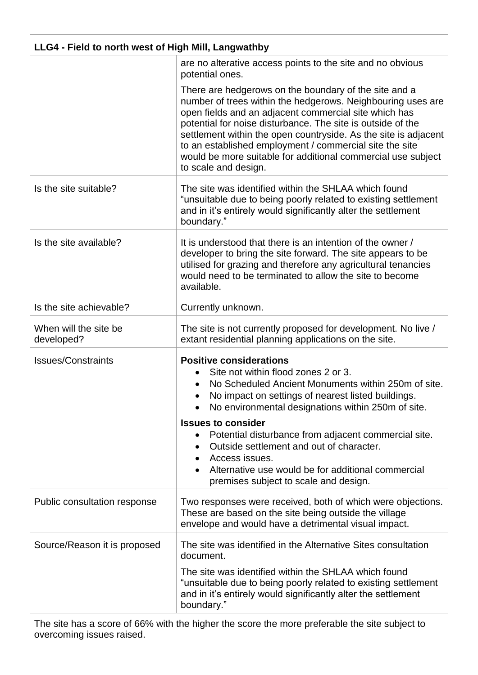| LLG4 - Field to north west of High Mill, Langwathby |                                                                                                                                                                                                                                                                                                                                                                                                                                                                    |  |
|-----------------------------------------------------|--------------------------------------------------------------------------------------------------------------------------------------------------------------------------------------------------------------------------------------------------------------------------------------------------------------------------------------------------------------------------------------------------------------------------------------------------------------------|--|
|                                                     | are no alterative access points to the site and no obvious<br>potential ones.                                                                                                                                                                                                                                                                                                                                                                                      |  |
|                                                     | There are hedgerows on the boundary of the site and a<br>number of trees within the hedgerows. Neighbouring uses are<br>open fields and an adjacent commercial site which has<br>potential for noise disturbance. The site is outside of the<br>settlement within the open countryside. As the site is adjacent<br>to an established employment / commercial site the site<br>would be more suitable for additional commercial use subject<br>to scale and design. |  |
| Is the site suitable?                               | The site was identified within the SHLAA which found<br>"unsuitable due to being poorly related to existing settlement<br>and in it's entirely would significantly alter the settlement<br>boundary."                                                                                                                                                                                                                                                              |  |
| Is the site available?                              | It is understood that there is an intention of the owner /<br>developer to bring the site forward. The site appears to be<br>utilised for grazing and therefore any agricultural tenancies<br>would need to be terminated to allow the site to become<br>available.                                                                                                                                                                                                |  |
| Is the site achievable?                             | Currently unknown.                                                                                                                                                                                                                                                                                                                                                                                                                                                 |  |
| When will the site be<br>developed?                 | The site is not currently proposed for development. No live /<br>extant residential planning applications on the site.                                                                                                                                                                                                                                                                                                                                             |  |
| <b>Issues/Constraints</b>                           | <b>Positive considerations</b><br>Site not within flood zones 2 or 3.<br>No Scheduled Ancient Monuments within 250m of site.<br>No impact on settings of nearest listed buildings.<br>No environmental designations within 250m of site.                                                                                                                                                                                                                           |  |
|                                                     | <b>Issues to consider</b><br>Potential disturbance from adjacent commercial site.<br>Outside settlement and out of character.<br>Access issues.<br>Alternative use would be for additional commercial<br>premises subject to scale and design.                                                                                                                                                                                                                     |  |
| Public consultation response                        | Two responses were received, both of which were objections.<br>These are based on the site being outside the village<br>envelope and would have a detrimental visual impact.                                                                                                                                                                                                                                                                                       |  |
| Source/Reason it is proposed                        | The site was identified in the Alternative Sites consultation<br>document.                                                                                                                                                                                                                                                                                                                                                                                         |  |
|                                                     | The site was identified within the SHLAA which found<br>"unsuitable due to being poorly related to existing settlement<br>and in it's entirely would significantly alter the settlement<br>boundary."                                                                                                                                                                                                                                                              |  |

The site has a score of 66% with the higher the score the more preferable the site subject to overcoming issues raised.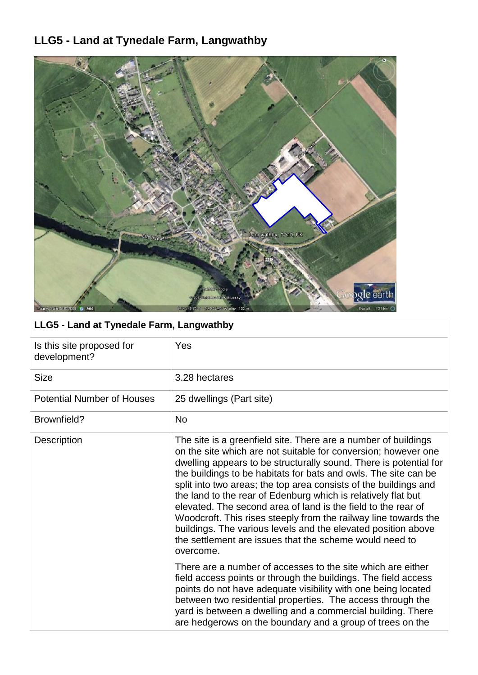# **LLG5 - Land at Tynedale Farm, Langwathby**



| LLG5 - Land at Tynedale Farm, Langwathby  |                                                                                                                                                                                                                                                                                                                                                                                                                                                                                                                                                                                                                                                                                            |
|-------------------------------------------|--------------------------------------------------------------------------------------------------------------------------------------------------------------------------------------------------------------------------------------------------------------------------------------------------------------------------------------------------------------------------------------------------------------------------------------------------------------------------------------------------------------------------------------------------------------------------------------------------------------------------------------------------------------------------------------------|
| Is this site proposed for<br>development? | Yes                                                                                                                                                                                                                                                                                                                                                                                                                                                                                                                                                                                                                                                                                        |
| <b>Size</b>                               | 3.28 hectares                                                                                                                                                                                                                                                                                                                                                                                                                                                                                                                                                                                                                                                                              |
| <b>Potential Number of Houses</b>         | 25 dwellings (Part site)                                                                                                                                                                                                                                                                                                                                                                                                                                                                                                                                                                                                                                                                   |
| Brownfield?                               | <b>No</b>                                                                                                                                                                                                                                                                                                                                                                                                                                                                                                                                                                                                                                                                                  |
| Description                               | The site is a greenfield site. There are a number of buildings<br>on the site which are not suitable for conversion; however one<br>dwelling appears to be structurally sound. There is potential for<br>the buildings to be habitats for bats and owls. The site can be<br>split into two areas; the top area consists of the buildings and<br>the land to the rear of Edenburg which is relatively flat but<br>elevated. The second area of land is the field to the rear of<br>Woodcroft. This rises steeply from the railway line towards the<br>buildings. The various levels and the elevated position above<br>the settlement are issues that the scheme would need to<br>overcome. |
|                                           | There are a number of accesses to the site which are either<br>field access points or through the buildings. The field access<br>points do not have adequate visibility with one being located<br>between two residential properties. The access through the<br>yard is between a dwelling and a commercial building. There<br>are hedgerows on the boundary and a group of trees on the                                                                                                                                                                                                                                                                                                   |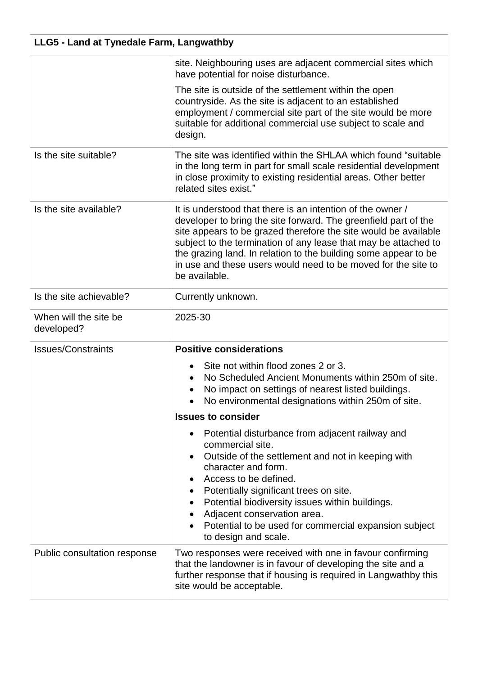| LLG5 - Land at Tynedale Farm, Langwathby |                                                                                                                                                                                                                                                                                                                                                                                                                          |
|------------------------------------------|--------------------------------------------------------------------------------------------------------------------------------------------------------------------------------------------------------------------------------------------------------------------------------------------------------------------------------------------------------------------------------------------------------------------------|
|                                          | site. Neighbouring uses are adjacent commercial sites which<br>have potential for noise disturbance.                                                                                                                                                                                                                                                                                                                     |
|                                          | The site is outside of the settlement within the open<br>countryside. As the site is adjacent to an established<br>employment / commercial site part of the site would be more<br>suitable for additional commercial use subject to scale and<br>design.                                                                                                                                                                 |
| Is the site suitable?                    | The site was identified within the SHLAA which found "suitable"<br>in the long term in part for small scale residential development<br>in close proximity to existing residential areas. Other better<br>related sites exist."                                                                                                                                                                                           |
| Is the site available?                   | It is understood that there is an intention of the owner /<br>developer to bring the site forward. The greenfield part of the<br>site appears to be grazed therefore the site would be available<br>subject to the termination of any lease that may be attached to<br>the grazing land. In relation to the building some appear to be<br>in use and these users would need to be moved for the site to<br>be available. |
| Is the site achievable?                  | Currently unknown.                                                                                                                                                                                                                                                                                                                                                                                                       |
| When will the site be<br>developed?      | 2025-30                                                                                                                                                                                                                                                                                                                                                                                                                  |
| <b>Issues/Constraints</b>                | <b>Positive considerations</b>                                                                                                                                                                                                                                                                                                                                                                                           |
|                                          | Site not within flood zones 2 or 3.<br>No Scheduled Ancient Monuments within 250m of site.<br>No impact on settings of nearest listed buildings<br>No environmental designations within 250m of site.                                                                                                                                                                                                                    |
|                                          | <b>Issues to consider</b>                                                                                                                                                                                                                                                                                                                                                                                                |
|                                          | Potential disturbance from adjacent railway and<br>$\bullet$<br>commercial site.<br>Outside of the settlement and not in keeping with<br>character and form.<br>Access to be defined.<br>Potentially significant trees on site.<br>$\bullet$<br>Potential biodiversity issues within buildings.<br>Adjacent conservation area.<br>Potential to be used for commercial expansion subject<br>to design and scale.          |
| Public consultation response             | Two responses were received with one in favour confirming<br>that the landowner is in favour of developing the site and a<br>further response that if housing is required in Langwathby this<br>site would be acceptable.                                                                                                                                                                                                |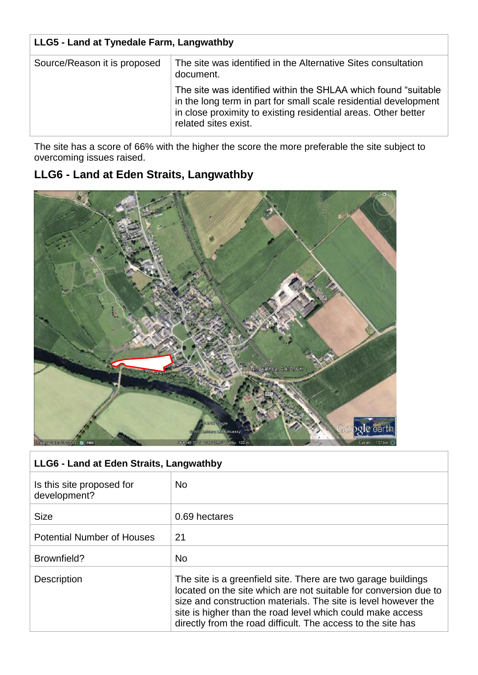| LLG5 - Land at Tynedale Farm, Langwathby |                                                                                                                                                                                                                               |
|------------------------------------------|-------------------------------------------------------------------------------------------------------------------------------------------------------------------------------------------------------------------------------|
| Source/Reason it is proposed             | The site was identified in the Alternative Sites consultation<br>document.                                                                                                                                                    |
|                                          | The site was identified within the SHLAA which found "suitable"<br>in the long term in part for small scale residential development<br>in close proximity to existing residential areas. Other better<br>related sites exist. |

The site has a score of 66% with the higher the score the more preferable the site subject to overcoming issues raised.

## **LLG6 - Land at Eden Straits, Langwathby**



| LLG6 - Land at Eden Straits, Langwathby   |                                                                                                                                                                                                                                                                                                                                   |
|-------------------------------------------|-----------------------------------------------------------------------------------------------------------------------------------------------------------------------------------------------------------------------------------------------------------------------------------------------------------------------------------|
| Is this site proposed for<br>development? | <b>No</b>                                                                                                                                                                                                                                                                                                                         |
| <b>Size</b>                               | 0.69 hectares                                                                                                                                                                                                                                                                                                                     |
| <b>Potential Number of Houses</b>         | 21                                                                                                                                                                                                                                                                                                                                |
| Brownfield?                               | <b>No</b>                                                                                                                                                                                                                                                                                                                         |
| <b>Description</b>                        | The site is a greenfield site. There are two garage buildings<br>located on the site which are not suitable for conversion due to<br>size and construction materials. The site is level however the<br>site is higher than the road level which could make access<br>directly from the road difficult. The access to the site has |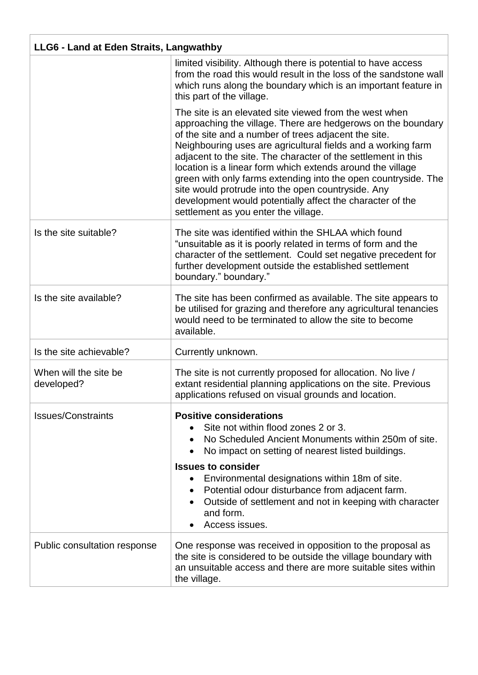| LLG6 - Land at Eden Straits, Langwathby |                                                                                                                                                                                                                                                                                                                                                                                                                                                                                                                                                                                                            |
|-----------------------------------------|------------------------------------------------------------------------------------------------------------------------------------------------------------------------------------------------------------------------------------------------------------------------------------------------------------------------------------------------------------------------------------------------------------------------------------------------------------------------------------------------------------------------------------------------------------------------------------------------------------|
|                                         | limited visibility. Although there is potential to have access<br>from the road this would result in the loss of the sandstone wall<br>which runs along the boundary which is an important feature in<br>this part of the village.                                                                                                                                                                                                                                                                                                                                                                         |
|                                         | The site is an elevated site viewed from the west when<br>approaching the village. There are hedgerows on the boundary<br>of the site and a number of trees adjacent the site.<br>Neighbouring uses are agricultural fields and a working farm<br>adjacent to the site. The character of the settlement in this<br>location is a linear form which extends around the village<br>green with only farms extending into the open countryside. The<br>site would protrude into the open countryside. Any<br>development would potentially affect the character of the<br>settlement as you enter the village. |
| Is the site suitable?                   | The site was identified within the SHLAA which found<br>"unsuitable as it is poorly related in terms of form and the<br>character of the settlement. Could set negative precedent for<br>further development outside the established settlement<br>boundary." boundary."                                                                                                                                                                                                                                                                                                                                   |
| Is the site available?                  | The site has been confirmed as available. The site appears to<br>be utilised for grazing and therefore any agricultural tenancies<br>would need to be terminated to allow the site to become<br>available.                                                                                                                                                                                                                                                                                                                                                                                                 |
| Is the site achievable?                 | Currently unknown.                                                                                                                                                                                                                                                                                                                                                                                                                                                                                                                                                                                         |
| When will the site be<br>developed?     | The site is not currently proposed for allocation. No live /<br>extant residential planning applications on the site. Previous<br>applications refused on visual grounds and location                                                                                                                                                                                                                                                                                                                                                                                                                      |
| <b>Issues/Constraints</b>               | <b>Positive considerations</b><br>Site not within flood zones 2 or 3.<br>No Scheduled Ancient Monuments within 250m of site.<br>No impact on setting of nearest listed buildings.<br><b>Issues to consider</b><br>Environmental designations within 18m of site.<br>Potential odour disturbance from adjacent farm.<br>Outside of settlement and not in keeping with character<br>and form.<br>Access issues.                                                                                                                                                                                              |
| Public consultation response            | One response was received in opposition to the proposal as<br>the site is considered to be outside the village boundary with<br>an unsuitable access and there are more suitable sites within<br>the village.                                                                                                                                                                                                                                                                                                                                                                                              |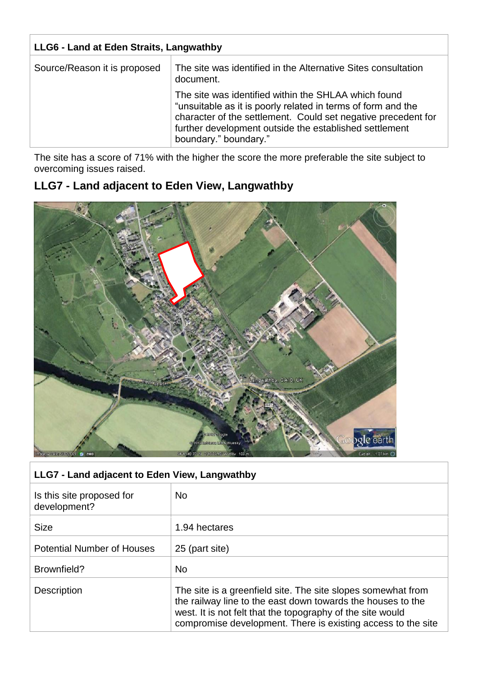| LLG6 - Land at Eden Straits, Langwathby |                                                                                                                                                                                                                                                                          |
|-----------------------------------------|--------------------------------------------------------------------------------------------------------------------------------------------------------------------------------------------------------------------------------------------------------------------------|
| Source/Reason it is proposed            | The site was identified in the Alternative Sites consultation<br>document.                                                                                                                                                                                               |
|                                         | The site was identified within the SHLAA which found<br>"unsuitable as it is poorly related in terms of form and the<br>character of the settlement. Could set negative precedent for<br>further development outside the established settlement<br>boundary." boundary." |

The site has a score of 71% with the higher the score the more preferable the site subject to overcoming issues raised.

## **LLG7 - Land adjacent to Eden View, Langwathby**



| LLG7 - Land adjacent to Eden View, Langwathby |                                                                                                                                                                                                                                                           |
|-----------------------------------------------|-----------------------------------------------------------------------------------------------------------------------------------------------------------------------------------------------------------------------------------------------------------|
| Is this site proposed for<br>development?     | <b>No</b>                                                                                                                                                                                                                                                 |
| <b>Size</b>                                   | 1.94 hectares                                                                                                                                                                                                                                             |
| <b>Potential Number of Houses</b>             | 25 (part site)                                                                                                                                                                                                                                            |
| Brownfield?                                   | <b>No</b>                                                                                                                                                                                                                                                 |
| <b>Description</b>                            | The site is a greenfield site. The site slopes somewhat from<br>the railway line to the east down towards the houses to the<br>west. It is not felt that the topography of the site would<br>compromise development. There is existing access to the site |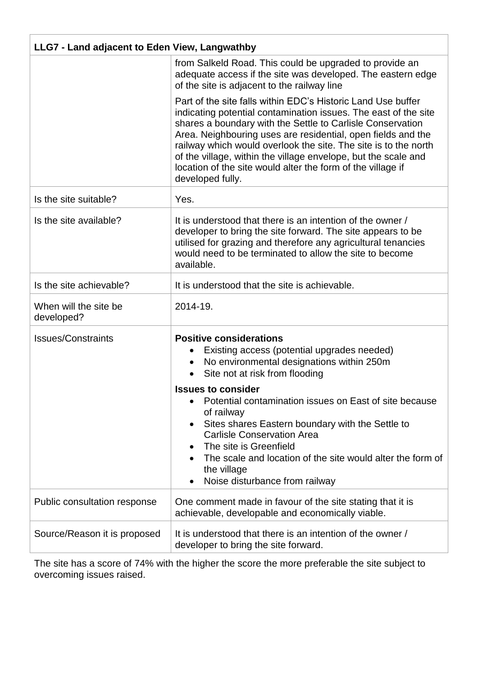| LLG7 - Land adjacent to Eden View, Langwathby |                                                                                                                                                                                                                                                                                                                                                                                                                                                                                       |
|-----------------------------------------------|---------------------------------------------------------------------------------------------------------------------------------------------------------------------------------------------------------------------------------------------------------------------------------------------------------------------------------------------------------------------------------------------------------------------------------------------------------------------------------------|
|                                               | from Salkeld Road. This could be upgraded to provide an<br>adequate access if the site was developed. The eastern edge<br>of the site is adjacent to the railway line                                                                                                                                                                                                                                                                                                                 |
|                                               | Part of the site falls within EDC's Historic Land Use buffer<br>indicating potential contamination issues. The east of the site<br>shares a boundary with the Settle to Carlisle Conservation<br>Area. Neighbouring uses are residential, open fields and the<br>railway which would overlook the site. The site is to the north<br>of the village, within the village envelope, but the scale and<br>location of the site would alter the form of the village if<br>developed fully. |
| Is the site suitable?                         | Yes.                                                                                                                                                                                                                                                                                                                                                                                                                                                                                  |
| Is the site available?                        | It is understood that there is an intention of the owner /<br>developer to bring the site forward. The site appears to be<br>utilised for grazing and therefore any agricultural tenancies<br>would need to be terminated to allow the site to become<br>available.                                                                                                                                                                                                                   |
| Is the site achievable?                       | It is understood that the site is achievable.                                                                                                                                                                                                                                                                                                                                                                                                                                         |
| When will the site be<br>developed?           | 2014-19.                                                                                                                                                                                                                                                                                                                                                                                                                                                                              |
| <b>Issues/Constraints</b>                     | <b>Positive considerations</b><br>Existing access (potential upgrades needed)<br>No environmental designations within 250m<br>Site not at risk from flooding                                                                                                                                                                                                                                                                                                                          |
|                                               | <b>Issues to consider</b><br>Potential contamination issues on East of site because<br>of railway<br>Sites shares Eastern boundary with the Settle to<br><b>Carlisle Conservation Area</b><br>The site is Greenfield<br>The scale and location of the site would alter the form of<br>the village<br>Noise disturbance from railway                                                                                                                                                   |
| Public consultation response                  | One comment made in favour of the site stating that it is<br>achievable, developable and economically viable.                                                                                                                                                                                                                                                                                                                                                                         |
| Source/Reason it is proposed                  | It is understood that there is an intention of the owner /<br>developer to bring the site forward.                                                                                                                                                                                                                                                                                                                                                                                    |

The site has a score of 74% with the higher the score the more preferable the site subject to overcoming issues raised.